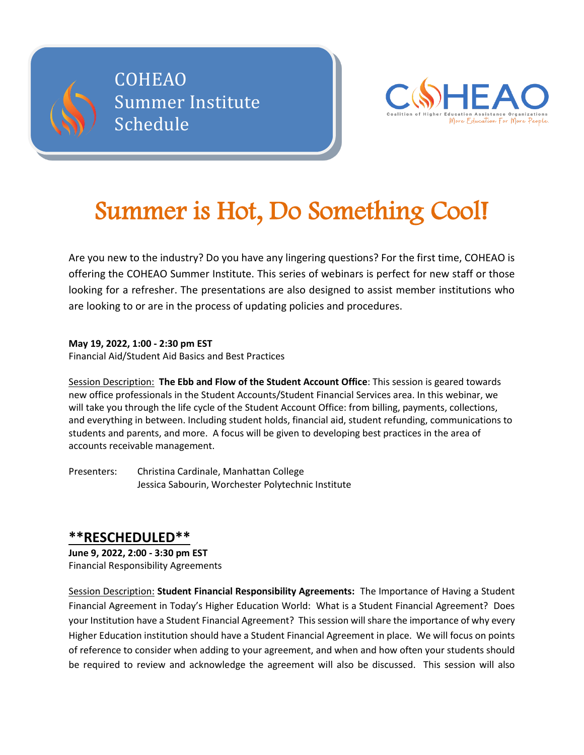



# Summer is Hot, Do Something Cool!

Are you new to the industry? Do you have any lingering questions? For the first time, COHEAO is offering the COHEAO Summer Institute. This series of webinars is perfect for new staff or those looking for a refresher. The presentations are also designed to assist member institutions who are looking to or are in the process of updating policies and procedures.

**May 19, 2022, 1:00 - 2:30 pm EST**

Financial Aid/Student Aid Basics and Best Practices

Session Description: **The Ebb and Flow of the Student Account Office**: This session is geared towards new office professionals in the Student Accounts/Student Financial Services area. In this webinar, we will take you through the life cycle of the Student Account Office: from billing, payments, collections, and everything in between. Including student holds, financial aid, student refunding, communications to students and parents, and more. A focus will be given to developing best practices in the area of accounts receivable management.

Presenters: Christina Cardinale, Manhattan College Jessica Sabourin, Worchester Polytechnic Institute

## **\*\*RESCHEDULED\*\***

**June 9, 2022, 2:00 - 3:30 pm EST** Financial Responsibility Agreements

Session Description: **Student Financial Responsibility Agreements:** The Importance of Having a Student Financial Agreement in Today's Higher Education World: What is a Student Financial Agreement? Does your Institution have a Student Financial Agreement? This session will share the importance of why every Higher Education institution should have a Student Financial Agreement in place. We will focus on points of reference to consider when adding to your agreement, and when and how often your students should be required to review and acknowledge the agreement will also be discussed. This session will also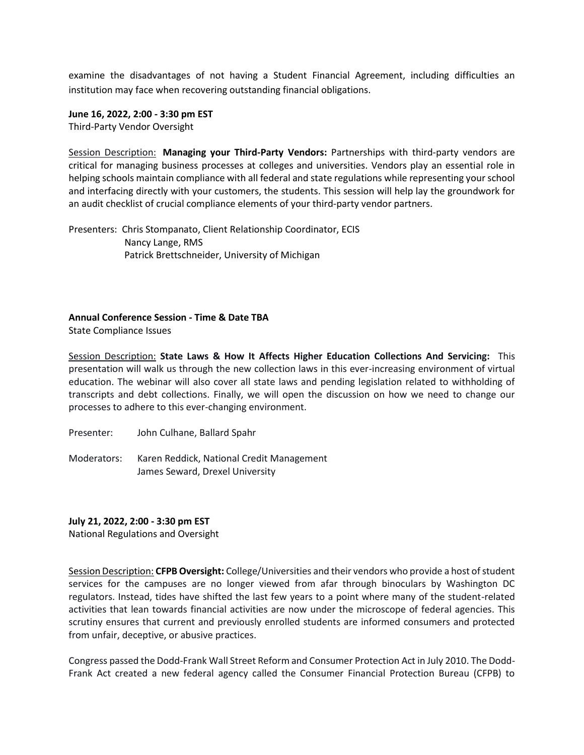examine the disadvantages of not having a Student Financial Agreement, including difficulties an institution may face when recovering outstanding financial obligations.

**June 16, 2022, 2:00 - 3:30 pm EST** Third-Party Vendor Oversight

Session Description: **Managing your Third-Party Vendors:** Partnerships with third-party vendors are critical for managing business processes at colleges and universities. Vendors play an essential role in helping schools maintain compliance with all federal and state regulations while representing your school and interfacing directly with your customers, the students. This session will help lay the groundwork for an audit checklist of crucial compliance elements of your third-party vendor partners.

Presenters: Chris Stompanato, Client Relationship Coordinator, ECIS Nancy Lange, RMS Patrick Brettschneider, University of Michigan

#### **Annual Conference Session - Time & Date TBA**

State Compliance Issues

Session Description: **State Laws & How It Affects Higher Education Collections And Servicing:** This presentation will walk us through the new collection laws in this ever-increasing environment of virtual education. The webinar will also cover all state laws and pending legislation related to withholding of transcripts and debt collections. Finally, we will open the discussion on how we need to change our processes to adhere to this ever-changing environment.

Presenter: John Culhane, Ballard Spahr

Moderators: Karen Reddick, National Credit Management James Seward, Drexel University

#### **July 21, 2022, 2:00 - 3:30 pm EST**

National Regulations and Oversight

Session Description: **CFPB Oversight:** College/Universities and their vendors who provide a host of student services for the campuses are no longer viewed from afar through binoculars by Washington DC regulators. Instead, tides have shifted the last few years to a point where many of the student-related activities that lean towards financial activities are now under the microscope of federal agencies. This scrutiny ensures that current and previously enrolled students are informed consumers and protected from unfair, deceptive, or abusive practices.

Congress passed the Dodd-Frank Wall Street Reform and Consumer Protection Act in July 2010. The Dodd-Frank Act created a new federal agency called the Consumer Financial Protection Bureau (CFPB) to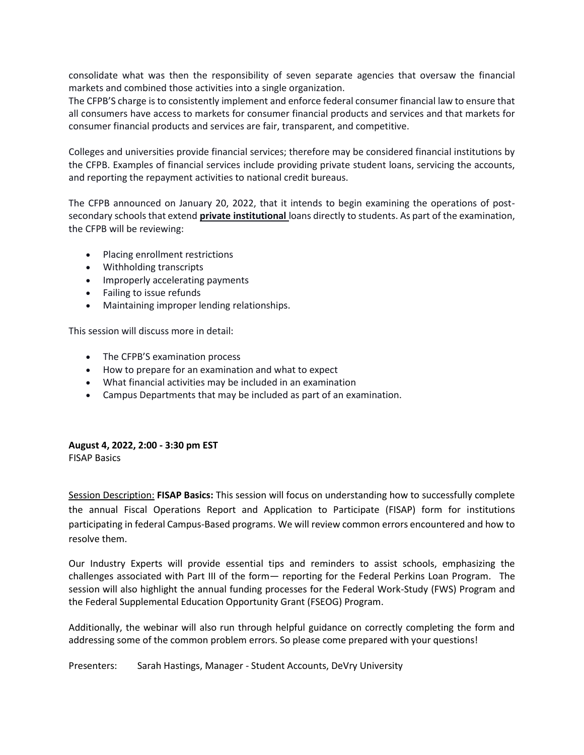consolidate what was then the responsibility of seven separate agencies that oversaw the financial markets and combined those activities into a single organization.

The CFPB'S charge is to consistently implement and enforce federal consumer financial law to ensure that all consumers have access to markets for consumer financial products and services and that markets for consumer financial products and services are fair, transparent, and competitive.

Colleges and universities provide financial services; therefore may be considered financial institutions by the CFPB. Examples of financial services include providing private student loans, servicing the accounts, and reporting the repayment activities to national credit bureaus.

The CFPB announced on January 20, 2022, that it intends to begin examining the operations of postsecondary schools that extend **private institutional** loans directly to students. As part of the examination, the CFPB will be reviewing:

- Placing enrollment restrictions
- Withholding transcripts
- Improperly accelerating payments
- Failing to issue refunds
- Maintaining improper lending relationships.

This session will discuss more in detail:

- The CFPB'S examination process
- How to prepare for an examination and what to expect
- What financial activities may be included in an examination
- Campus Departments that may be included as part of an examination.

### **August 4, 2022, 2:00 - 3:30 pm EST**

FISAP Basics

Session Description: **FISAP Basics:** This session will focus on understanding how to successfully complete the annual Fiscal Operations Report and Application to Participate (FISAP) form for institutions participating in federal Campus-Based programs. We will review common errors encountered and how to resolve them.

Our Industry Experts will provide essential tips and reminders to assist schools, emphasizing the challenges associated with Part III of the form— reporting for the Federal Perkins Loan Program. The session will also highlight the annual funding processes for the Federal Work-Study (FWS) Program and the Federal Supplemental Education Opportunity Grant (FSEOG) Program.

Additionally, the webinar will also run through helpful guidance on correctly completing the form and addressing some of the common problem errors. So please come prepared with your questions!

Presenters: Sarah Hastings, Manager - Student Accounts, DeVry University